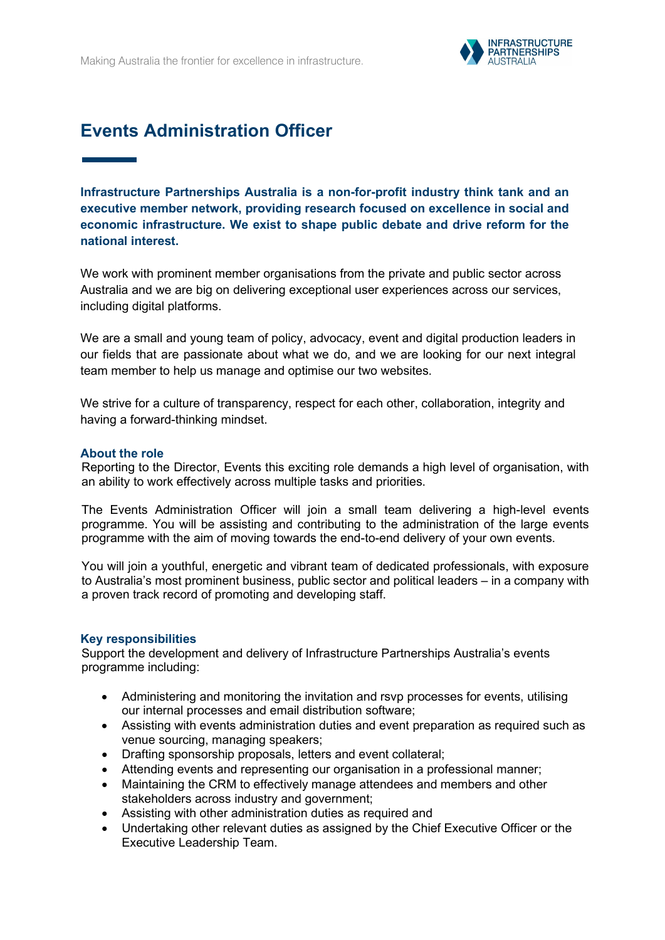

# **Events Administration Officer**

**Infrastructure Partnerships Australia is a non-for-profit industry think tank and an executive member network, providing research focused on excellence in social and economic infrastructure. We exist to shape public debate and drive reform for the national interest.**

We work with prominent member organisations from the private and public sector across Australia and we are big on delivering exceptional user experiences across our services, including digital platforms.

We are a small and young team of policy, advocacy, event and digital production leaders in our fields that are passionate about what we do, and we are looking for our next integral team member to help us manage and optimise our two websites.

We strive for a culture of transparency, respect for each other, collaboration, integrity and having a forward-thinking mindset.

#### **About the role**

Reporting to the Director, Events this exciting role demands a high level of organisation, with an ability to work effectively across multiple tasks and priorities.

The Events Administration Officer will join a small team delivering a high-level events programme. You will be assisting and contributing to the administration of the large events programme with the aim of moving towards the end-to-end delivery of your own events.

You will join a youthful, energetic and vibrant team of dedicated professionals, with exposure to Australia's most prominent business, public sector and political leaders – in a company with a proven track record of promoting and developing staff.

#### **Key responsibilities**

Support the development and delivery of Infrastructure Partnerships Australia's events programme including:

- Administering and monitoring the invitation and rsvp processes for events, utilising our internal processes and email distribution software;
- Assisting with events administration duties and event preparation as required such as venue sourcing, managing speakers;
- Drafting sponsorship proposals, letters and event collateral;
- Attending events and representing our organisation in a professional manner;
- Maintaining the CRM to effectively manage attendees and members and other stakeholders across industry and government;
- Assisting with other administration duties as required and
- Undertaking other relevant duties as assigned by the Chief Executive Officer or the Executive Leadership Team.